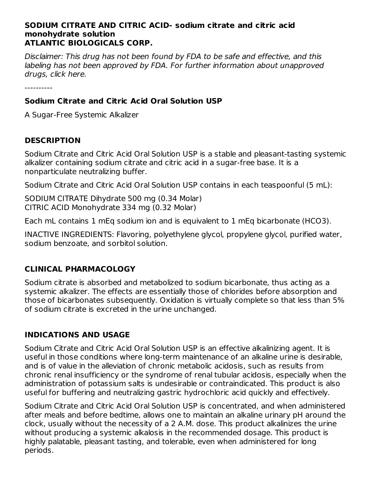#### **SODIUM CITRATE AND CITRIC ACID- sodium citrate and citric acid monohydrate solution ATLANTIC BIOLOGICALS CORP.**

Disclaimer: This drug has not been found by FDA to be safe and effective, and this labeling has not been approved by FDA. For further information about unapproved drugs, click here.

----------

# **Sodium Citrate and Citric Acid Oral Solution USP**

A Sugar-Free Systemic Alkalizer

# **DESCRIPTION**

Sodium Citrate and Citric Acid Oral Solution USP is a stable and pleasant-tasting systemic alkalizer containing sodium citrate and citric acid in a sugar-free base. It is a nonparticulate neutralizing buffer.

Sodium Citrate and Citric Acid Oral Solution USP contains in each teaspoonful (5 mL):

SODIUM CITRATE Dihydrate 500 mg (0.34 Molar) CITRIC ACID Monohydrate 334 mg (0.32 Molar)

Each mL contains 1 mEq sodium ion and is equivalent to 1 mEq bicarbonate (HCO3).

INACTIVE INGREDIENTS: Flavoring, polyethylene glycol, propylene glycol, purified water, sodium benzoate, and sorbitol solution.

# **CLINICAL PHARMACOLOGY**

Sodium citrate is absorbed and metabolized to sodium bicarbonate, thus acting as a systemic alkalizer. The effects are essentially those of chlorides before absorption and those of bicarbonates subsequently. Oxidation is virtually complete so that less than 5% of sodium citrate is excreted in the urine unchanged.

# **INDICATIONS AND USAGE**

Sodium Citrate and Citric Acid Oral Solution USP is an effective alkalinizing agent. It is useful in those conditions where long-term maintenance of an alkaline urine is desirable, and is of value in the alleviation of chronic metabolic acidosis, such as results from chronic renal insufficiency or the syndrome of renal tubular acidosis, especially when the administration of potassium salts is undesirable or contraindicated. This product is also useful for buffering and neutralizing gastric hydrochloric acid quickly and effectively.

Sodium Citrate and Citric Acid Oral Solution USP is concentrated, and when administered after meals and before bedtime, allows one to maintain an alkaline urinary pH around the clock, usually without the necessity of a 2 A.M. dose. This product alkalinizes the urine without producing a systemic alkalosis in the recommended dosage. This product is highly palatable, pleasant tasting, and tolerable, even when administered for long periods.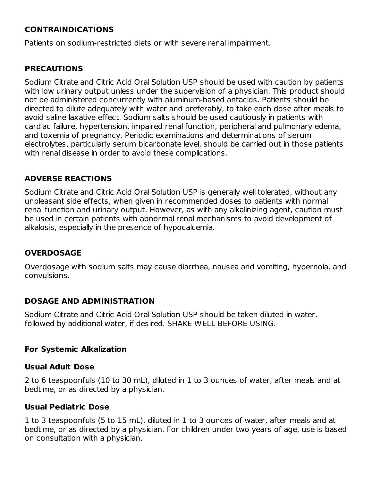# **CONTRAINDICATIONS**

Patients on sodium-restricted diets or with severe renal impairment.

#### **PRECAUTIONS**

Sodium Citrate and Citric Acid Oral Solution USP should be used with caution by patients with low urinary output unless under the supervision of a physician. This product should not be administered concurrently with aluminum-based antacids. Patients should be directed to dilute adequately with water and preferably, to take each dose after meals to avoid saline laxative effect. Sodium salts should be used cautiously in patients with cardiac failure, hypertension, impaired renal function, peripheral and pulmonary edema, and toxemia of pregnancy. Periodic examinations and determinations of serum electrolytes, particularly serum bicarbonate level, should be carried out in those patients with renal disease in order to avoid these complications.

## **ADVERSE REACTIONS**

Sodium Citrate and Citric Acid Oral Solution USP is generally well tolerated, without any unpleasant side effects, when given in recommended doses to patients with normal renal function and urinary output. However, as with any alkalinizing agent, caution must be used in certain patients with abnormal renal mechanisms to avoid development of alkalosis, especially in the presence of hypocalcemia.

#### **OVERDOSAGE**

Overdosage with sodium salts may cause diarrhea, nausea and vomiting, hypernoia, and convulsions.

#### **DOSAGE AND ADMINISTRATION**

Sodium Citrate and Citric Acid Oral Solution USP should be taken diluted in water, followed by additional water, if desired. SHAKE WELL BEFORE USING.

#### **For Systemic Alkalization**

#### **Usual Adult Dose**

2 to 6 teaspoonfuls (10 to 30 mL), diluted in 1 to 3 ounces of water, after meals and at bedtime, or as directed by a physician.

#### **Usual Pediatric Dose**

1 to 3 teaspoonfuls (5 to 15 mL), diluted in 1 to 3 ounces of water, after meals and at bedtime, or as directed by a physician. For children under two years of age, use is based on consultation with a physician.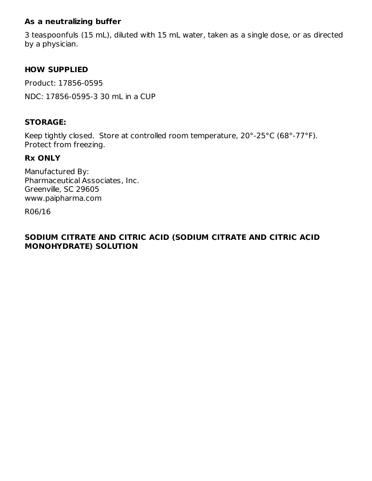## **As a neutralizing buffer**

3 teaspoonfuls (15 mL), diluted with 15 mL water, taken as a single dose, or as directed by a physician.

## **HOW SUPPLIED**

Product: 17856-0595 NDC: 17856-0595-3 30 mL in a CUP

## **STORAGE:**

Keep tightly closed. Store at controlled room temperature, 20°-25°C (68°-77°F). Protect from freezing.

## **Rx ONLY**

Manufactured By: Pharmaceutical Associates, Inc. Greenville, SC 29605 www.paipharma.com

R06/16

## **SODIUM CITRATE AND CITRIC ACID (SODIUM CITRATE AND CITRIC ACID MONOHYDRATE) SOLUTION**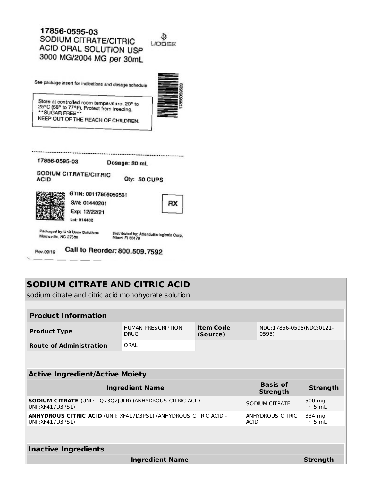# 17856-0595-03 SODIUM CITRATE/CITRIC ACID ORAL SOLUTION USP 3000 MG/2004 MG per 30mL

See package insert for indications and dosage schedule



Store at controlled room temperature, 20° to 25°C (68° to 77°F). Protect from freezing.<br>\*\*SUGAR FREE\*\* KEEP OUT OF THE REACH OF CHILDREN.

| 17856-0595-03 |                       | Dosage: 30 mL |              |  |
|---------------|-----------------------|---------------|--------------|--|
| <b>ACID</b>   | SODIUM CITRATE/CITRIC |               | Qty: 50 CUPS |  |
|               | GTIN: 00117856059531  |               |              |  |
|               | S/N: 01440201         |               |              |  |
|               | Exp: 12/22/21         |               |              |  |
|               | Lot: 014402           |               |              |  |

Call to Reorder: 800.509.7592 Rev.09/19

# **SODIUM CITRATE AND CITRIC ACID**

sodium citrate and citric acid monohydrate solution

## **Product Information**

| <b>Product Type</b>            | <b>HUMAN PRESCRIPTION</b> | Item Code | NDC:17856-0595(NDC:0121- |  |
|--------------------------------|---------------------------|-----------|--------------------------|--|
|                                | <b>DRUG</b>               | (Source)  | 0595)                    |  |
| <b>Route of Administration</b> | ORAL                      |           |                          |  |

| <b>Active Ingredient/Active Moiety</b>                                                        |                                    |                     |  |  |  |  |
|-----------------------------------------------------------------------------------------------|------------------------------------|---------------------|--|--|--|--|
| <b>Ingredient Name</b>                                                                        | <b>Basis of</b><br><b>Strength</b> | <b>Strength</b>     |  |  |  |  |
| <b>SODIUM CITRATE</b> (UNII: 1Q73Q2 ULR) (ANHYDROUS CITRIC ACID -<br>UNII: XF417D3PSL)        | SODIUM CITRATE                     | 500 mg<br>in $5 mL$ |  |  |  |  |
| <b>ANHYDROUS CITRIC ACID (UNII: XF417D3PSL) (ANHYDROUS CITRIC ACID -</b><br>UNII: XF417D3PSL) | ANHYDROUS CITRIC<br><b>ACID</b>    | 334 mg<br>in $5 mL$ |  |  |  |  |
|                                                                                               |                                    |                     |  |  |  |  |
| <b>Inactive Ingredients</b>                                                                   |                                    |                     |  |  |  |  |

**Ingredient Name Strength**